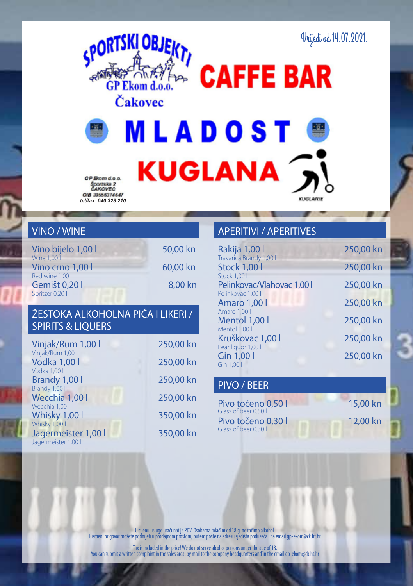



**MLADOST KUGLANA** 

GP Brom d.o.o. Športska 2<br>ČAKOVEC *tel/fax: 040 328 210*

## VINO / WINE

| Vino bijelo 1,00 l | 50,00 kn |
|--------------------|----------|
| Wine 1,00          |          |
| Vino crno 1.00     | 60,00 kn |
| Red wine 1.00 l    |          |
| Gemišt 0.20        | 8.00 kn  |
| Spritzer 0,20 l    |          |

#### ŽESTOKA ALKOHOLNA PIĆA I LIKERI / SPIRITS & LIQUERS

| Vinjak/Rum 1,00 l                                           | 250,00 kn |
|-------------------------------------------------------------|-----------|
| Vinjak/Rum 1,00 l<br>Vodka 1,00 l                           | 250,00 kn |
| Vodka 1,00 l<br>Brandy 1,00 l                               | 250,00 kn |
| Brandy 1,00 l<br>Wecchia 1.00 l                             | 250,00 kn |
| Wecchia 1,00 l<br>Whisky 1,00 l                             | 350,00 kn |
| Whisky 1,00 l<br>Jagermeister 1,00 l<br>Jagermeister 1,00 l | 350,00 kn |

## APERITIVI / APERITIVES

| Rakija 1,00 l              | 250,00 kn |
|----------------------------|-----------|
| Travarica Brandy 1,00 l    |           |
| <b>Stock 1,00 l</b>        | 250,00 kn |
| <b>Stock 1.00  </b>        |           |
| Pelinkovac/Vlahovac 1,00 l | 250,00 kn |
| Pelinkovac 1.00            |           |
| <b>Amaro 1,00 l</b>        | 250,00 kn |
| Amaro 1,00 l               |           |
| Mentol 1,00 l              | 250,00 kn |
| Mentol 1,00 l              |           |
| Kruškovac 1,00 l           | 250,00 kn |
| Pear liquor 1,00 l         |           |
| Gin 1,00 l                 | 250,00 kn |
| Gin 1,00                   |           |
|                            |           |

**KLIGEANIE** 

#### PIVO / BEER

| Pivo točeno 0.50                         |
|------------------------------------------|
| Glass of beer 0.50 l                     |
| Pivo točeno 0,30<br>Glass of beer 0.30 l |

15,00 kn 12,00 kn

U cijenu usluge uračunat je PDV. Osobama mlađim od 18.g. ne točimo alkohol. Pismeni prigovor možete podnijeti u prodajnom prostoru, putem pošte na adresu sjedišta poduzeća i na email gp-ekom@ck.ht.hr

Tax is included in the price! We do not serve alcohol persons under the age of 18. You can submit a written complaint in the sales area, by mail to the company headquarters and in the email gp-ekom@ck.ht.hr